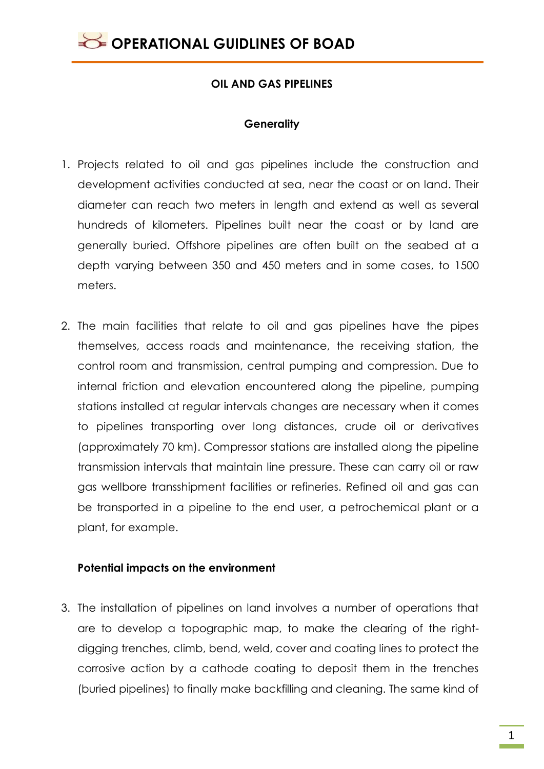### **OIL AND GAS PIPELINES**

### **Generality**

- 1. Projects related to oil and gas pipelines include the construction and development activities conducted at sea, near the coast or on land. Their diameter can reach two meters in length and extend as well as several hundreds of kilometers. Pipelines built near the coast or by land are generally buried. Offshore pipelines are often built on the seabed at a depth varying between 350 and 450 meters and in some cases, to 1500 meters.
- 2. The main facilities that relate to oil and gas pipelines have the pipes themselves, access roads and maintenance, the receiving station, the control room and transmission, central pumping and compression. Due to internal friction and elevation encountered along the pipeline, pumping stations installed at regular intervals changes are necessary when it comes to pipelines transporting over long distances, crude oil or derivatives (approximately 70 km). Compressor stations are installed along the pipeline transmission intervals that maintain line pressure. These can carry oil or raw gas wellbore transshipment facilities or refineries. Refined oil and gas can be transported in a pipeline to the end user, a petrochemical plant or a plant, for example.

### **Potential impacts on the environment**

3. The installation of pipelines on land involves a number of operations that are to develop a topographic map, to make the clearing of the rightdigging trenches, climb, bend, weld, cover and coating lines to protect the corrosive action by a cathode coating to deposit them in the trenches (buried pipelines) to finally make backfilling and cleaning. The same kind of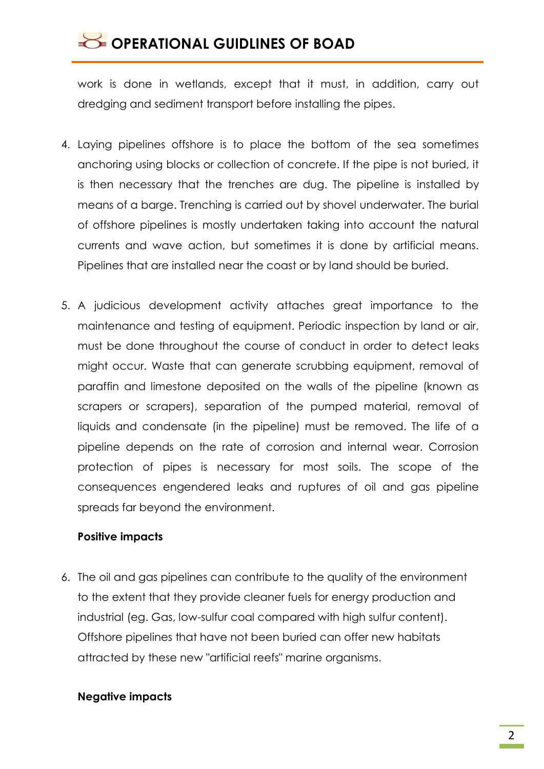# OPERATIONAL GUIDLINES OF BOAD

work is done in wetlands, except that it must, in addition, carry out dredging and sediment transport before installing the pipes.

- 4. Laying pipelines offshore is to place the bottom of the sea sometimes anchoring using blocks or collection of concrete. If the pipe is not buried, it is then necessary that the trenches are dug. The pipeline is installed by means of a barge. Trenching is carried out by shovel underwater. The burial of offshore pipelines is mostly undertaken taking into account the natural currents and wave action, but sometimes it is done by artificial means. Pipelines that are installed near the coast or by land should be buried.
- 5. A judicious development activity attaches great importance to the maintenance and testing of equipment. Periodic inspection by land or air, must be done throughout the course of conduct in order to detect leaks might occur. Waste that can generate scrubbing equipment, removal of paraffin and limestone deposited on the walls of the pipeline (known as scrapers or scrapers), separation of the pumped material, removal of liquids and condensate (in the pipeline) must be removed. The life of a pipeline depends on the rate of corrosion and internal wear. Corrosion protection of pipes is necessary for most soils. The scope of the consequences engendered leaks and ruptures of oil and gas pipeline spreads far beyond the environment.

### **Positive impacts**

6. The oil and gas pipelines can contribute to the quality of the environment to the extent that they provide cleaner fuels for energy production and industrial (eg. Gas, low-sulfur coal compared with high sulfur content). Offshore pipelines that have not been buried can offer new habitats attracted by these new "artificial reefs" marine organisms.

### **Negative impacts**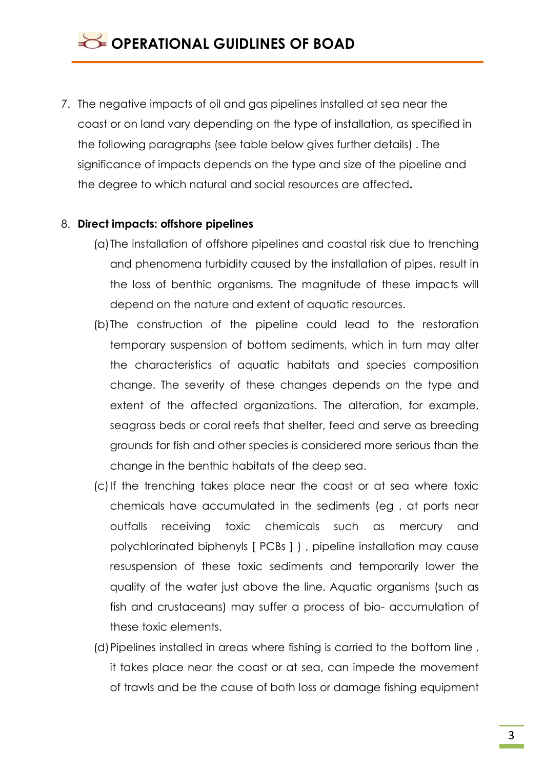7. The negative impacts of oil and gas pipelines installed at sea near the coast or on land vary depending on the type of installation, as specified in the following paragraphs (see table below gives further details) . The significance of impacts depends on the type and size of the pipeline and the degree to which natural and social resources are affected**.**

#### 8. **Direct impacts: offshore pipelines**

- (a)The installation of offshore pipelines and coastal risk due to trenching and phenomena turbidity caused by the installation of pipes, result in the loss of benthic organisms. The magnitude of these impacts will depend on the nature and extent of aquatic resources.
- (b)The construction of the pipeline could lead to the restoration temporary suspension of bottom sediments, which in turn may alter the characteristics of aquatic habitats and species composition change. The severity of these changes depends on the type and extent of the affected organizations. The alteration, for example, seagrass beds or coral reefs that shelter, feed and serve as breeding grounds for fish and other species is considered more serious than the change in the benthic habitats of the deep sea.
- (c)If the trenching takes place near the coast or at sea where toxic chemicals have accumulated in the sediments (eg . at ports near outfalls receiving toxic chemicals such as mercury and polychlorinated biphenyls [ PCBs ] ) , pipeline installation may cause resuspension of these toxic sediments and temporarily lower the quality of the water just above the line. Aquatic organisms (such as fish and crustaceans) may suffer a process of bio- accumulation of these toxic elements.
- (d)Pipelines installed in areas where fishing is carried to the bottom line , it takes place near the coast or at sea, can impede the movement of trawls and be the cause of both loss or damage fishing equipment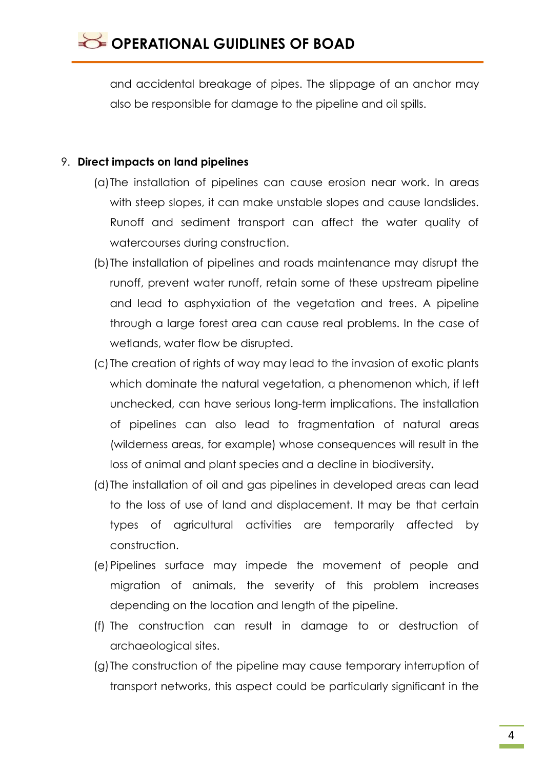and accidental breakage of pipes. The slippage of an anchor may also be responsible for damage to the pipeline and oil spills.

### 9. **Direct impacts on land pipelines**

- (a)The installation of pipelines can cause erosion near work. In areas with steep slopes, it can make unstable slopes and cause landslides. Runoff and sediment transport can affect the water quality of watercourses during construction.
- (b)The installation of pipelines and roads maintenance may disrupt the runoff, prevent water runoff, retain some of these upstream pipeline and lead to asphyxiation of the vegetation and trees. A pipeline through a large forest area can cause real problems. In the case of wetlands, water flow be disrupted.
- (c) The creation of rights of way may lead to the invasion of exotic plants which dominate the natural vegetation, a phenomenon which, if left unchecked, can have serious long-term implications. The installation of pipelines can also lead to fragmentation of natural areas (wilderness areas, for example) whose consequences will result in the loss of animal and plant species and a decline in biodiversity**.**
- (d)The installation of oil and gas pipelines in developed areas can lead to the loss of use of land and displacement. It may be that certain types of agricultural activities are temporarily affected by construction.
- (e)Pipelines surface may impede the movement of people and migration of animals, the severity of this problem increases depending on the location and length of the pipeline.
- (f) The construction can result in damage to or destruction of archaeological sites.
- (g)The construction of the pipeline may cause temporary interruption of transport networks, this aspect could be particularly significant in the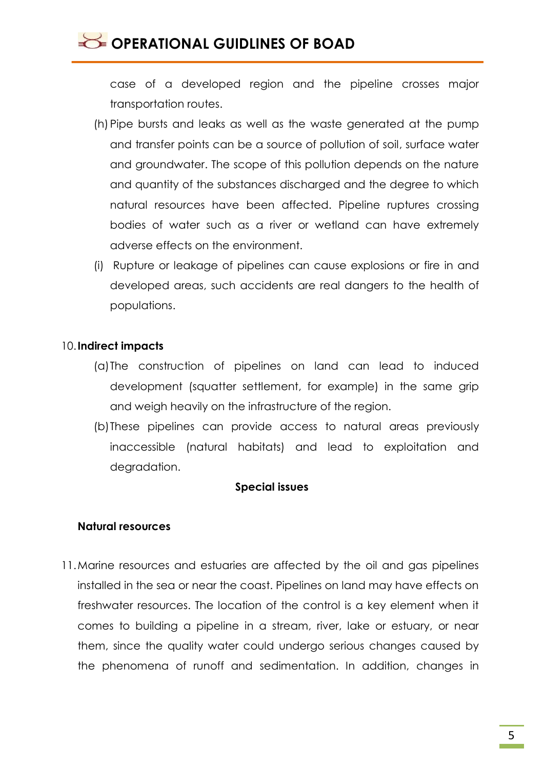### OPERATIONAL GUIDLINES OF BOAD

case of a developed region and the pipeline crosses major transportation routes.

- (h) Pipe bursts and leaks as well as the waste generated at the pump and transfer points can be a source of pollution of soil, surface water and groundwater. The scope of this pollution depends on the nature and quantity of the substances discharged and the degree to which natural resources have been affected. Pipeline ruptures crossing bodies of water such as a river or wetland can have extremely adverse effects on the environment.
- (i) Rupture or leakage of pipelines can cause explosions or fire in and developed areas, such accidents are real dangers to the health of populations.

### 10.**Indirect impacts**

- (a)The construction of pipelines on land can lead to induced development (squatter settlement, for example) in the same grip and weigh heavily on the infrastructure of the region.
- (b)These pipelines can provide access to natural areas previously inaccessible (natural habitats) and lead to exploitation and degradation.

### **Special issues**

### **Natural resources**

11.Marine resources and estuaries are affected by the oil and gas pipelines installed in the sea or near the coast. Pipelines on land may have effects on freshwater resources. The location of the control is a key element when it comes to building a pipeline in a stream, river, lake or estuary, or near them, since the quality water could undergo serious changes caused by the phenomena of runoff and sedimentation. In addition, changes in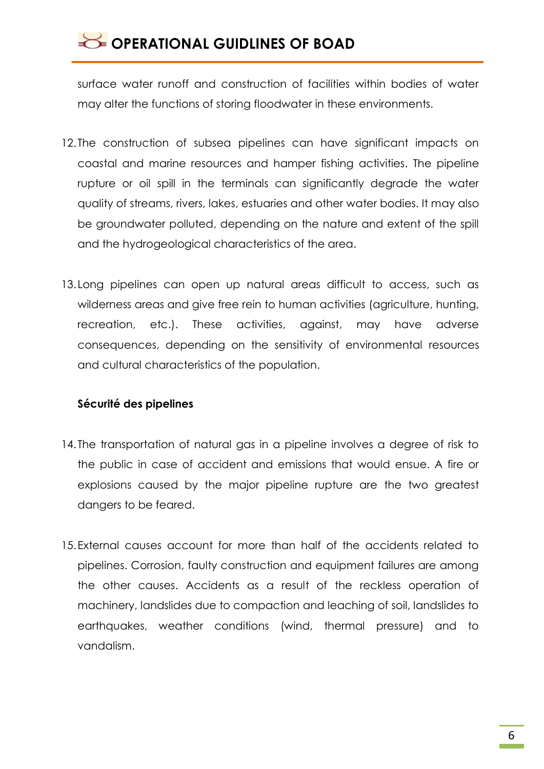## **SECTED OPERATIONAL GUIDLINES OF BOAD**

surface water runoff and construction of facilities within bodies of water may alter the functions of storing floodwater in these environments.

- 12. The construction of subsea pipelines can have significant impacts on coastal and marine resources and hamper fishing activities. The pipeline rupture or oil spill in the terminals can significantly degrade the water quality of streams, rivers, lakes, estuaries and other water bodies. It may also be groundwater polluted, depending on the nature and extent of the spill and the hydrogeological characteristics of the area.
- 13.Long pipelines can open up natural areas difficult to access, such as wilderness areas and give free rein to human activities (agriculture, hunting, recreation, etc.). These activities, against, may have adverse consequences, depending on the sensitivity of environmental resources and cultural characteristics of the population.

### **Sécurité des pipelines**

- 14. The transportation of natural gas in a pipeline involves a degree of risk to the public in case of accident and emissions that would ensue. A fire or explosions caused by the major pipeline rupture are the two greatest dangers to be feared.
- 15.External causes account for more than half of the accidents related to pipelines. Corrosion, faulty construction and equipment failures are among the other causes. Accidents as a result of the reckless operation of machinery, landslides due to compaction and leaching of soil, landslides to earthquakes, weather conditions (wind, thermal pressure) and to vandalism.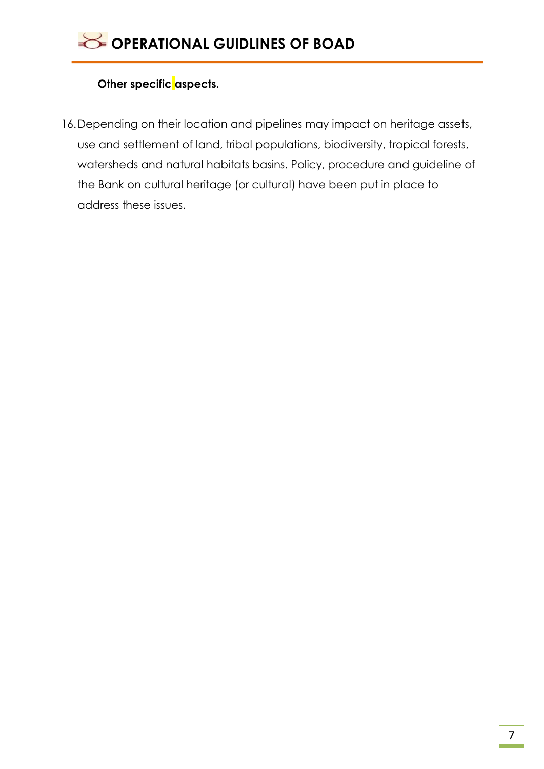### **Other specific aspects.**

16.Depending on their location and pipelines may impact on heritage assets, use and settlement of land, tribal populations, biodiversity, tropical forests, watersheds and natural habitats basins. Policy, procedure and guideline of the Bank on cultural heritage (or cultural) have been put in place to address these issues.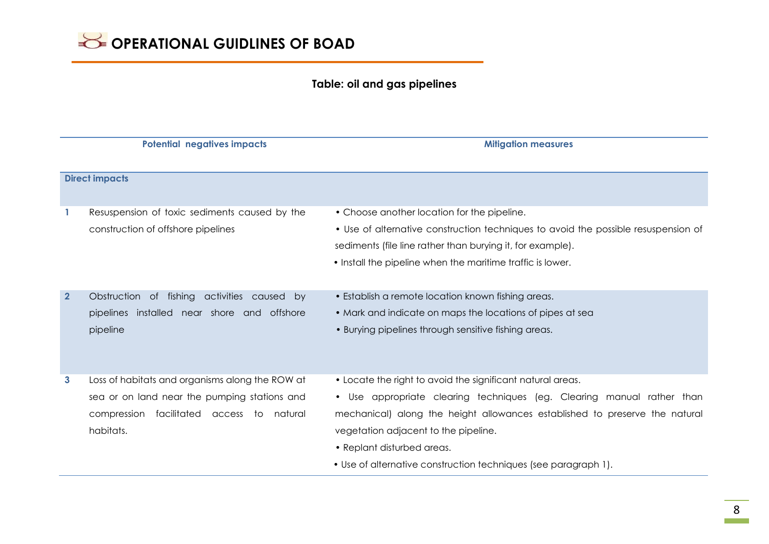### **Table: oil and gas pipelines**

|                       | <b>Potential negatives impacts</b>                                                                                                                        | <b>Mitigation measures</b>                                                                                                                                                                                                                                                                                                                                   |  |  |
|-----------------------|-----------------------------------------------------------------------------------------------------------------------------------------------------------|--------------------------------------------------------------------------------------------------------------------------------------------------------------------------------------------------------------------------------------------------------------------------------------------------------------------------------------------------------------|--|--|
| <b>Direct impacts</b> |                                                                                                                                                           |                                                                                                                                                                                                                                                                                                                                                              |  |  |
|                       | Resuspension of toxic sediments caused by the<br>construction of offshore pipelines                                                                       | • Choose another location for the pipeline.<br>• Use of alternative construction techniques to avoid the possible resuspension of<br>sediments (file line rather than burying it, for example).<br>• Install the pipeline when the maritime traffic is lower.                                                                                                |  |  |
| $\overline{2}$        | Obstruction of fishing activities caused by<br>pipelines installed near shore and offshore<br>pipeline                                                    | • Establish a remote location known fishing areas.<br>• Mark and indicate on maps the locations of pipes at sea<br>• Burying pipelines through sensitive fishing areas.                                                                                                                                                                                      |  |  |
| 3                     | Loss of habitats and organisms along the ROW at<br>sea or on land near the pumping stations and<br>compression facilitated access to natural<br>habitats. | • Locate the right to avoid the significant natural areas.<br>• Use appropriate clearing techniques (eg. Clearing manual rather than<br>mechanical) along the height allowances established to preserve the natural<br>vegetation adjacent to the pipeline.<br>• Replant disturbed areas.<br>• Use of alternative construction techniques (see paragraph 1). |  |  |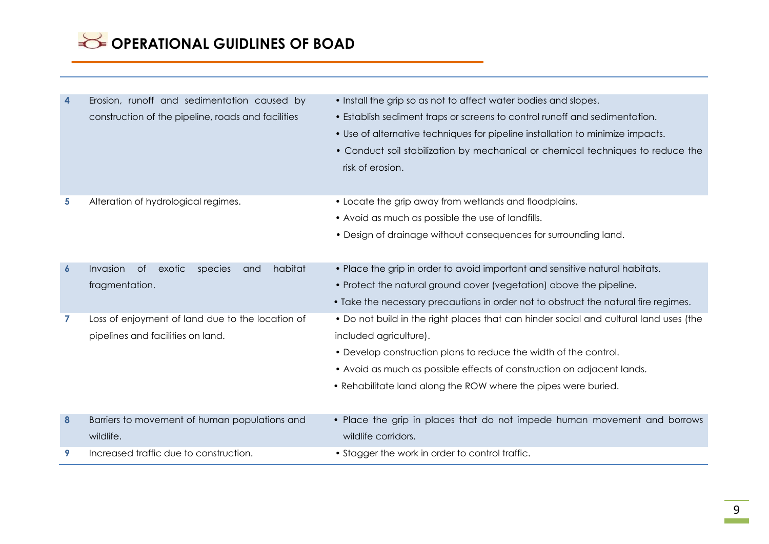# **SE OPERATIONAL GUIDLINES OF BOAD**

| 4                | Erosion, runoff and sedimentation caused by<br>construction of the pipeline, roads and facilities | • Install the grip so as not to affect water bodies and slopes.<br>• Establish sediment traps or screens to control runoff and sedimentation.<br>• Use of alternative techniques for pipeline installation to minimize impacts.<br>• Conduct soil stabilization by mechanical or chemical techniques to reduce the<br>risk of erosion. |
|------------------|---------------------------------------------------------------------------------------------------|----------------------------------------------------------------------------------------------------------------------------------------------------------------------------------------------------------------------------------------------------------------------------------------------------------------------------------------|
|                  |                                                                                                   |                                                                                                                                                                                                                                                                                                                                        |
| 5                | Alteration of hydrological regimes.                                                               | • Locate the grip away from wetlands and floodplains.<br>• Avoid as much as possible the use of landfills.<br>• Design of drainage without consequences for surrounding land.                                                                                                                                                          |
| $\boldsymbol{6}$ | habitat<br>Invasion<br>0f<br>exotic<br>species<br>and<br>fragmentation.                           | • Place the grip in order to avoid important and sensitive natural habitats.<br>• Protect the natural ground cover (vegetation) above the pipeline.<br>• Take the necessary precautions in order not to obstruct the natural fire regimes.                                                                                             |
| 7                | Loss of enjoyment of land due to the location of<br>pipelines and facilities on land.             | • Do not build in the right places that can hinder social and cultural land uses (the<br>included agriculture).<br>• Develop construction plans to reduce the width of the control.<br>• Avoid as much as possible effects of construction on adjacent lands.<br>• Rehabilitate land along the ROW where the pipes were buried.        |
| 8                | Barriers to movement of human populations and<br>wildlife.                                        | • Place the grip in places that do not impede human movement and borrows<br>wildlife corridors.                                                                                                                                                                                                                                        |
| 9                | Increased traffic due to construction.                                                            | • Stagger the work in order to control traffic.                                                                                                                                                                                                                                                                                        |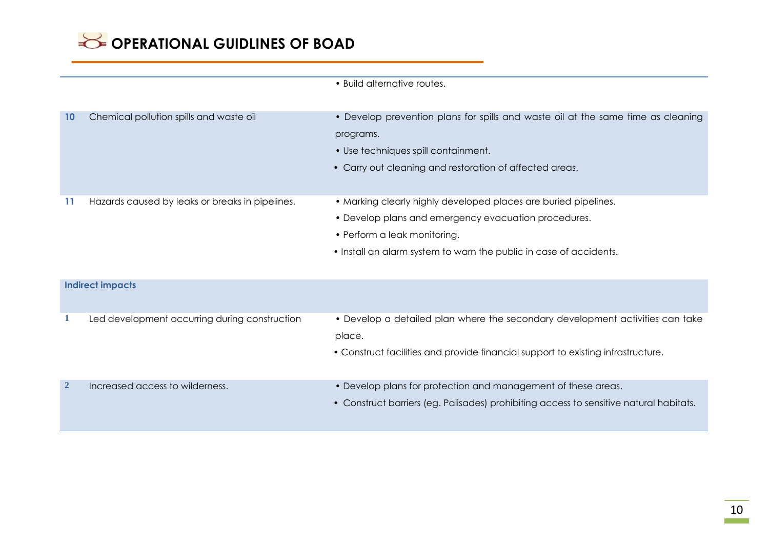• Build alternative routes.

| 10                      | Chemical pollution spills and waste oil         | • Develop prevention plans for spills and waste oil at the same time as cleaning<br>programs.<br>• Use techniques spill containment.<br>• Carry out cleaning and restoration of affected areas.                               |  |  |
|-------------------------|-------------------------------------------------|-------------------------------------------------------------------------------------------------------------------------------------------------------------------------------------------------------------------------------|--|--|
| 11                      | Hazards caused by leaks or breaks in pipelines. | • Marking clearly highly developed places are buried pipelines.<br>• Develop plans and emergency evacuation procedures.<br>• Perform a leak monitoring.<br>• Install an alarm system to warn the public in case of accidents. |  |  |
| <b>Indirect impacts</b> |                                                 |                                                                                                                                                                                                                               |  |  |
| 1                       | Led development occurring during construction   | • Develop a detailed plan where the secondary development activities can take<br>place.<br>• Construct facilities and provide financial support to existing infrastructure.                                                   |  |  |
| $\mathbf{2}$            | Increased access to wilderness.                 | • Develop plans for protection and management of these areas.<br>• Construct barriers (eg. Palisades) prohibiting access to sensitive natural habitats.                                                                       |  |  |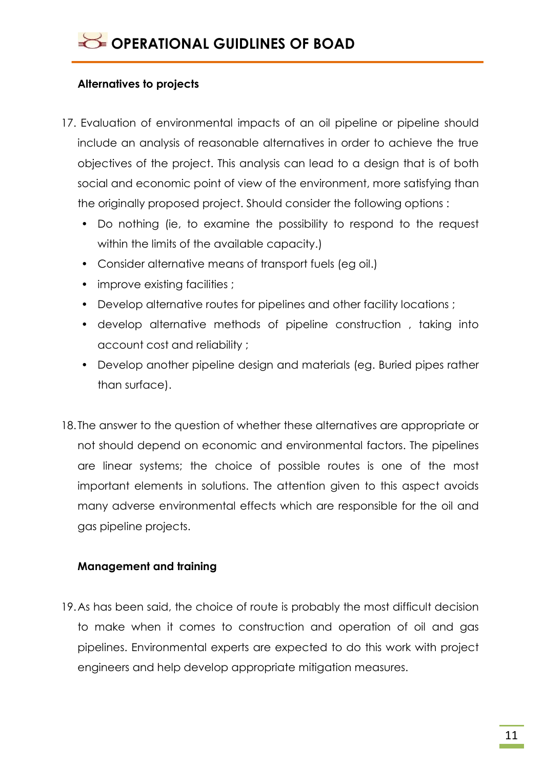### **Alternatives to projects**

- 17. Evaluation of environmental impacts of an oil pipeline or pipeline should include an analysis of reasonable alternatives in order to achieve the true objectives of the project. This analysis can lead to a design that is of both social and economic point of view of the environment, more satisfying than the originally proposed project. Should consider the following options :
	- Do nothing (ie, to examine the possibility to respond to the request within the limits of the available capacity.)
	- Consider alternative means of transport fuels (eg oil.)
	- improve existing facilities ;
	- Develop alternative routes for pipelines and other facility locations ;
	- develop alternative methods of pipeline construction , taking into account cost and reliability ;
	- Develop another pipeline design and materials (eg. Buried pipes rather than surface).
- 18. The answer to the question of whether these alternatives are appropriate or not should depend on economic and environmental factors. The pipelines are linear systems; the choice of possible routes is one of the most important elements in solutions. The attention given to this aspect avoids many adverse environmental effects which are responsible for the oil and gas pipeline projects.

### **Management and training**

19.As has been said, the choice of route is probably the most difficult decision to make when it comes to construction and operation of oil and gas pipelines. Environmental experts are expected to do this work with project engineers and help develop appropriate mitigation measures.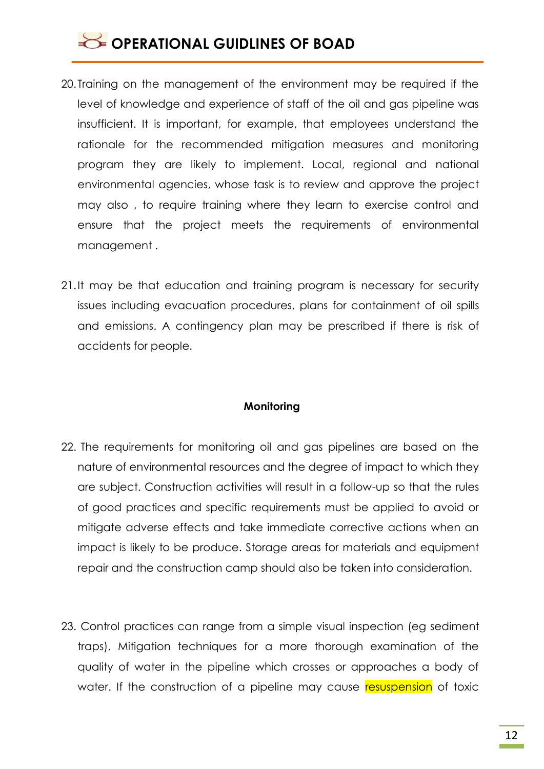### **SECTED OPERATIONAL GUIDLINES OF BOAD**

- 20. Training on the management of the environment may be required if the level of knowledge and experience of staff of the oil and gas pipeline was insufficient. It is important, for example, that employees understand the rationale for the recommended mitigation measures and monitoring program they are likely to implement. Local, regional and national environmental agencies, whose task is to review and approve the project may also , to require training where they learn to exercise control and ensure that the project meets the requirements of environmental management .
- 21.It may be that education and training program is necessary for security issues including evacuation procedures, plans for containment of oil spills and emissions. A contingency plan may be prescribed if there is risk of accidents for people.

#### **Monitoring**

- 22. The requirements for monitoring oil and gas pipelines are based on the nature of environmental resources and the degree of impact to which they are subject. Construction activities will result in a follow-up so that the rules of good practices and specific requirements must be applied to avoid or mitigate adverse effects and take immediate corrective actions when an impact is likely to be produce. Storage areas for materials and equipment repair and the construction camp should also be taken into consideration.
- 23. Control practices can range from a simple visual inspection (eg sediment traps). Mitigation techniques for a more thorough examination of the quality of water in the pipeline which crosses or approaches a body of water. If the construction of a pipeline may cause resuspension of toxic